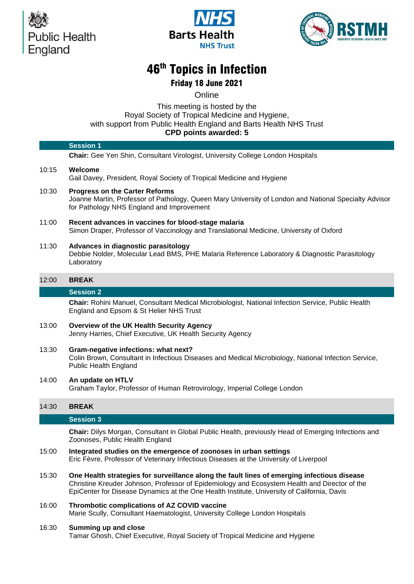





# 46 th Topics in Infection

Friday 18 June 2021

**Online** 

## This meeting is hosted by the Royal Society of Tropical Medicine and Hygien[e,](https://rstmh.org/events/topics-infection-2018) with support from Public Health England and Barts Health NHS Trust **CPD points awarded: 5**

|       | <b>Session 1</b>                                                                                                                                                                                                                                                                            |
|-------|---------------------------------------------------------------------------------------------------------------------------------------------------------------------------------------------------------------------------------------------------------------------------------------------|
|       | Chair: Gee Yen Shin, Consultant Virologist, University College London Hospitals                                                                                                                                                                                                             |
| 10:15 | Welcome<br>Gail Davey, President, Royal Society of Tropical Medicine and Hygiene                                                                                                                                                                                                            |
| 10:30 | <b>Progress on the Carter Reforms</b><br>Joanne Martin, Professor of Pathology, Queen Mary University of London and National Specialty Advisor<br>for Pathology NHS England and Improvement                                                                                                 |
| 11:00 | Recent advances in vaccines for blood-stage malaria<br>Simon Draper, Professor of Vaccinology and Translational Medicine, University of Oxford                                                                                                                                              |
| 11:30 | Advances in diagnostic parasitology<br>Debbie Nolder, Molecular Lead BMS, PHE Malaria Reference Laboratory & Diagnostic Parasitology<br>Laboratory                                                                                                                                          |
| 12:00 | <b>BREAK</b>                                                                                                                                                                                                                                                                                |
|       | <b>Session 2</b>                                                                                                                                                                                                                                                                            |
|       | Chair: Rohini Manuel, Consultant Medical Microbiologist, National Infection Service, Public Health<br>England and Epsom & St Helier NHS Trust                                                                                                                                               |
| 13:00 | Overview of the UK Health Security Agency<br>Jenny Harries, Chief Executive, UK Health Security Agency                                                                                                                                                                                      |
| 13:30 | Gram-negative infections: what next?<br>Colin Brown, Consultant in Infectious Diseases and Medical Microbiology, National Infection Service,<br><b>Public Health England</b>                                                                                                                |
| 14:00 | An update on HTLV<br>Graham Taylor, Professor of Human Retrovirology, Imperial College London                                                                                                                                                                                               |
| 14:30 | <b>BREAK</b>                                                                                                                                                                                                                                                                                |
|       | <b>Session 3</b>                                                                                                                                                                                                                                                                            |
|       | Chair: Dilys Morgan, Consultant in Global Public Health, previously Head of Emerging Infections and<br>Zoonoses, Public Health England                                                                                                                                                      |
| 15:00 | Integrated studies on the emergence of zoonoses in urban settings<br>Eric Fèvre, Professor of Veterinary Infectious Diseases at the University of Liverpool                                                                                                                                 |
| 15:30 | One Health strategies for surveillance along the fault lines of emerging infectious disease<br>Christine Kreuder Johnson, Professor of Epidemiology and Ecosystem Health and Director of the<br>EpiCenter for Disease Dynamics at the One Health Institute, University of California, Davis |
| 16:00 | Thrombotic complications of AZ COVID vaccine<br>Marie Scully, Consultant Haematologist, University College London Hospitals                                                                                                                                                                 |
| 16:30 | Summing up and close<br>Tamar Ghosh, Chief Executive, Royal Society of Tropical Medicine and Hygiene                                                                                                                                                                                        |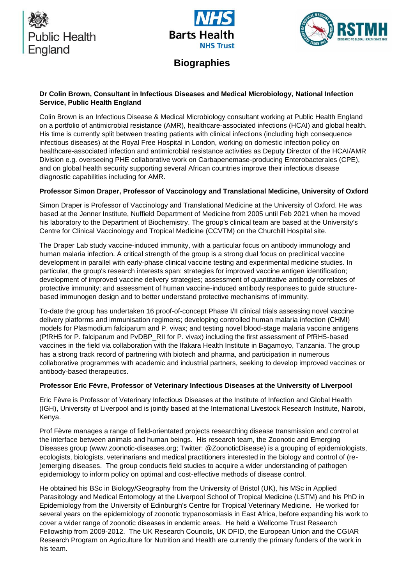





**Biographies**

# **Dr Colin Brown, Consultant in Infectious Diseases and Medical Microbiology, National Infection Service, Public Health England**

Colin Brown is an Infectious Disease & Medical Microbiology consultant working at Public Health England on a portfolio of antimicrobial resistance (AMR), healthcare-associated infections (HCAI) and global health. His time is currently split between treating patients with clinical infections (including high consequence infectious diseases) at the Royal Free Hospital in London, working on domestic infection policy on healthcare-associated infection and antimicrobial resistance activities as Deputy Director of the HCAI/AMR Division e.g. overseeing PHE collaborative work on Carbapenemase-producing Enterobacterales (CPE), and on global health security supporting several African countries improve their infectious disease diagnostic capabilities including for AMR.

# **Professor Simon Draper, Professor of Vaccinology and Translational Medicine, University of Oxford**

Simon Draper is Professor of Vaccinology and Translational Medicine at the University of Oxford. He was based at the Jenner Institute, Nuffield Department of Medicine from 2005 until Feb 2021 when he moved his laboratory to the Department of Biochemistry. The group's clinical team are based at the University's Centre for Clinical Vaccinology and Tropical Medicine (CCVTM) on the Churchill Hospital site.

The Draper Lab study vaccine-induced immunity, with a particular focus on antibody immunology and human malaria infection. A critical strength of the group is a strong dual focus on preclinical vaccine development in parallel with early-phase clinical vaccine testing and experimental medicine studies. In particular, the group's research interests span: strategies for improved vaccine antigen identification; development of improved vaccine delivery strategies; assessment of quantitative antibody correlates of protective immunity; and assessment of human vaccine-induced antibody responses to guide structurebased immunogen design and to better understand protective mechanisms of immunity.

To-date the group has undertaken 16 proof-of-concept Phase I/II clinical trials assessing novel vaccine delivery platforms and immunisation regimens; developing controlled human malaria infection (CHMI) models for Plasmodium falciparum and P. vivax; and testing novel blood-stage malaria vaccine antigens (PfRH5 for P. falciparum and PvDBP\_RII for P. vivax) including the first assessment of PfRH5-based vaccines in the field via collaboration with the Ifakara Health Institute in Bagamoyo, Tanzania. The group has a strong track record of partnering with biotech and pharma, and participation in numerous collaborative programmes with academic and industrial partners, seeking to develop improved vaccines or antibody-based therapeutics.

#### **Professor Eric Fèvre, Professor of Veterinary Infectious Diseases at the University of Liverpool**

Eric Fèvre is Professor of Veterinary Infectious Diseases at the Institute of Infection and Global Health (IGH), University of Liverpool and is jointly based at the International Livestock Research Institute, Nairobi, Kenya.

Prof Fèvre manages a range of field-orientated projects researching disease transmission and control at the interface between animals and human beings. His research team, the Zoonotic and Emerging Diseases group (www.zoonotic-diseases.org; Twitter: @ZoonoticDisease) is a grouping of epidemiologists, ecologists, biologists, veterinarians and medical practitioners interested in the biology and control of (re- )emerging diseases. The group conducts field studies to acquire a wider understanding of pathogen epidemiology to inform policy on optimal and cost-effective methods of disease control.

He obtained his BSc in Biology/Geography from the University of Bristol (UK), his MSc in Applied Parasitology and Medical Entomology at the Liverpool School of Tropical Medicine (LSTM) and his PhD in Epidemiology from the University of Edinburgh's Centre for Tropical Veterinary Medicine. He worked for several years on the epidemiology of zoonotic trypanosomiasis in East Africa, before expanding his work to cover a wider range of zoonotic diseases in endemic areas. He held a Wellcome Trust Research Fellowship from 2009-2012. The UK Research Councils, UK DFID, the European Union and the CGIAR Research Program on Agriculture for Nutrition and Health are currently the primary funders of the work in his team.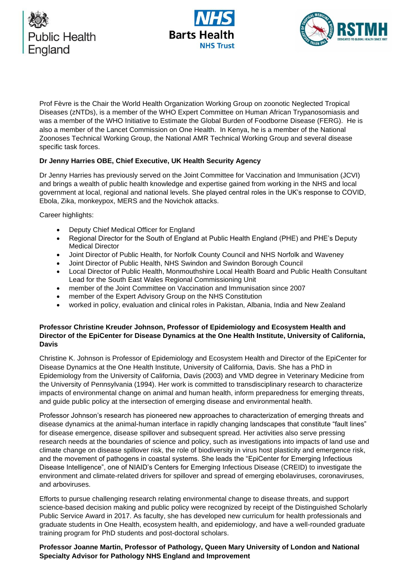





Prof Fèvre is the Chair the World Health Organization Working Group on zoonotic Neglected Tropical Diseases (zNTDs), is a member of the WHO Expert Committee on Human African Trypanosomiasis and was a member of the WHO Initiative to Estimate the Global Burden of Foodborne Disease (FERG). He is also a member of the Lancet Commission on One Health. In Kenya, he is a member of the National Zoonoses Technical Working Group, the National AMR Technical Working Group and several disease specific task forces.

## **Dr Jenny Harries OBE, Chief Executive, UK Health Security Agency**

Dr Jenny Harries has previously served on the Joint Committee for Vaccination and Immunisation (JCVI) and brings a wealth of public health knowledge and expertise gained from working in the NHS and local government at local, regional and national levels. She played central roles in the UK's response to COVID, Ebola, Zika, monkeypox, MERS and the Novichok attacks.

Career highlights:

- Deputy Chief Medical Officer for England
- Regional Director for the South of England at Public Health England (PHE) and PHE's Deputy Medical Director
- Joint Director of Public Health, for Norfolk County Council and NHS Norfolk and Waveney
- Joint Director of Public Health, NHS Swindon and Swindon Borough Council
- Local Director of Public Health, Monmouthshire Local Health Board and Public Health Consultant Lead for the South East Wales Regional Commissioning Unit
- member of the Joint Committee on Vaccination and Immunisation since 2007
- member of the Expert Advisory Group on the NHS Constitution
- worked in policy, evaluation and clinical roles in Pakistan, Albania, India and New Zealand

### **Professor Christine Kreuder Johnson, Professor of Epidemiology and Ecosystem Health and Director of the EpiCenter for Disease Dynamics at the One Health Institute, University of California, Davis**

Christine K. Johnson is Professor of Epidemiology and Ecosystem Health and Director of the EpiCenter for Disease Dynamics at the One Health Institute, University of California, Davis. She has a PhD in Epidemiology from the University of California, Davis (2003) and VMD degree in Veterinary Medicine from the University of Pennsylvania (1994). Her work is committed to transdisciplinary research to characterize impacts of environmental change on animal and human health, inform preparedness for emerging threats, and guide public policy at the intersection of emerging disease and environmental health.

Professor Johnson's research has pioneered new approaches to characterization of emerging threats and disease dynamics at the animal-human interface in rapidly changing landscapes that constitute "fault lines" for disease emergence, disease spillover and subsequent spread. Her activities also serve pressing research needs at the boundaries of science and policy, such as investigations into impacts of land use and climate change on disease spillover risk, the role of biodiversity in virus host plasticity and emergence risk, and the movement of pathogens in coastal systems. She leads the "EpiCenter for Emerging Infectious Disease Intelligence", one of NIAID's Centers for Emerging Infectious Disease (CREID) to investigate the environment and climate-related drivers for spillover and spread of emerging ebolaviruses, coronaviruses, and arboviruses.

Efforts to pursue challenging research relating environmental change to disease threats, and support science-based decision making and public policy were recognized by receipt of the Distinguished Scholarly Public Service Award in 2017. As faculty, she has developed new curriculum for health professionals and graduate students in One Health, ecosystem health, and epidemiology, and have a well-rounded graduate training program for PhD students and post-doctoral scholars.

**Professor Joanne Martin, Professor of Pathology, Queen Mary University of London and National Specialty Advisor for Pathology NHS England and Improvement**